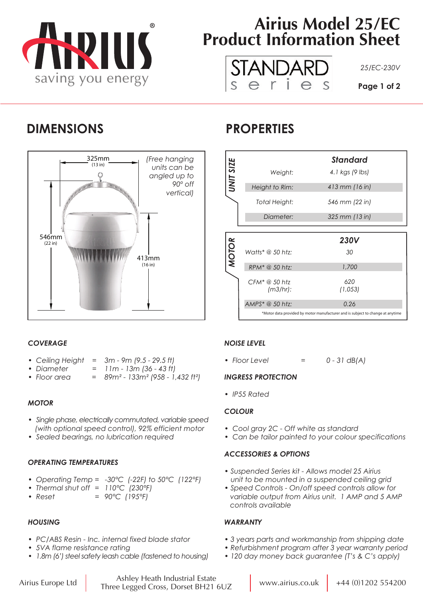

# **Airius Model 25/EC Product Information Sheet**



# **DIMENSIONS PROPERTIES**



|              |                              | <b>Standard</b> |
|--------------|------------------------------|-----------------|
| UNIT SIZE    | Weight:                      | 4.1 kgs (9 lbs) |
|              | Height to Rim:               | 413 mm (16 in)  |
|              | Total Height:                | 546 mm (22 in)  |
|              | Diameter:                    | 325 mm (13 in)  |
|              |                              |                 |
|              |                              |                 |
|              |                              | <b>230V</b>     |
|              | Watts* @ 50 htz:             | 30              |
| <b>MOTOR</b> | RPM* @ 50 htz:               | 1,700           |
|              | $CFM^* @ 50$ htz<br>(m3/hr): | 620<br>(1,053)  |
|              | AMPS* @ 50 htz:              | 0.26            |

# *COVERAGE*

- *Ceiling Height = 3m 9m (9.5 29.5 ft)*
- *Diameter = 11m 13m (36 43 ft)*
- *Floor area = 89m² 133m² (958 1,432 ft²)*

# *MOTOR*

- *Single phase, electrically commutated, variable speed (with optional speed control), 92% efficient motor*
- *Sealed bearings, no lubrication required*

## *OPERATING TEMPERATURES*

- *Operating Temp = -30°C (-22F) to 50°C (122°F)*
- *Thermal shut off = 110°C (230°F)*
- *Reset = 90°C (195°F)*

# *HOUSING*

- *PC/ABS Resin Inc. internal fixed blade stator*
- *5VA flame resistance rating*
- *1.8m (6') steel safety leash cable (fastened to housing)*

## *NOISE LEVEL*

*• Floor Level = 0 - 31 dB(A)*

## *INGRESS PROTECTION*

*• IP55 Rated*

## *COLOUR*

- *Cool gray 2C Off white as standard*
- *Can be tailor painted to your colour specifications*

# *ACCESSORIES & OPTIONS*

- *Suspended Series kit Allows model 25 Airius unit to be mounted in a suspended ceiling grid*
- *Speed Controls On/off speed controls allow for variable output from Airius unit. 1 AMP and 5 AMP controls available*

# *WARRANTY*

- *3 years parts and workmanship from shipping date*
- *Refurbishment program after 3 year warranty period*
- *120 day money back guarantee (T's & C's apply)*

Airius Europe Ltd www.airius.co.uk +44 (0)1202 554200 Ashley Heath Industrial Estate Three Legged Cross, Dorset BH21 6UZ